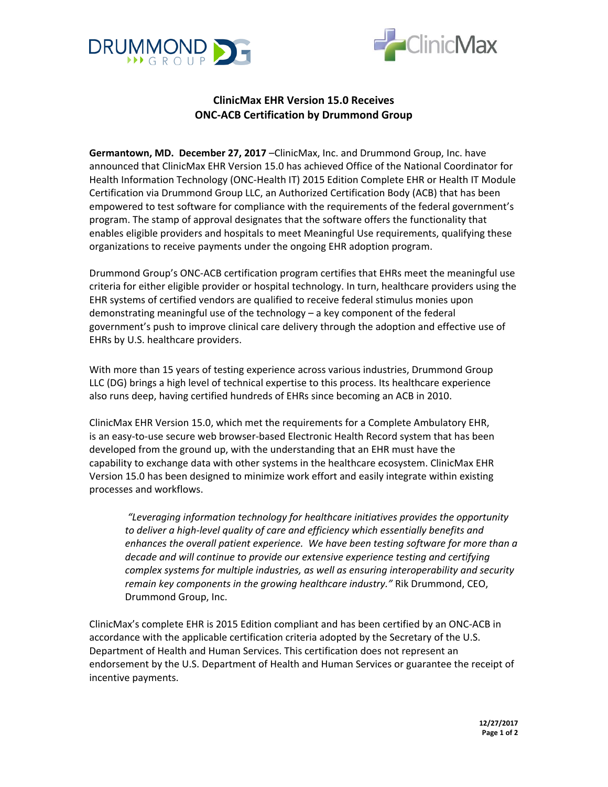



## **ClinicMax EHR Version 15.0 Receives ONC-ACB Certification by Drummond Group**

**Germantown, MD. December 27, 2017** –ClinicMax, Inc. and Drummond Group, Inc. have announced that ClinicMax EHR Version 15.0 has achieved Office of the National Coordinator for Health Information Technology (ONC-Health IT) 2015 Edition Complete EHR or Health IT Module Certification via Drummond Group LLC, an Authorized Certification Body (ACB) that has been empowered to test software for compliance with the requirements of the federal government's program. The stamp of approval designates that the software offers the functionality that enables eligible providers and hospitals to meet Meaningful Use requirements, qualifying these organizations to receive payments under the ongoing EHR adoption program.

Drummond Group's ONC-ACB certification program certifies that EHRs meet the meaningful use criteria for either eligible provider or hospital technology. In turn, healthcare providers using the EHR systems of certified vendors are qualified to receive federal stimulus monies upon demonstrating meaningful use of the technology – a key component of the federal government's push to improve clinical care delivery through the adoption and effective use of EHRs by U.S. healthcare providers.

With more than 15 years of testing experience across various industries, Drummond Group LLC (DG) brings a high level of technical expertise to this process. Its healthcare experience also runs deep, having certified hundreds of EHRs since becoming an ACB in 2010.

ClinicMax EHR Version 15.0, which met the requirements for a Complete Ambulatory EHR, is an easy-to-use secure web browser-based Electronic Health Record system that has been developed from the ground up, with the understanding that an EHR must have the capability to exchange data with other systems in the healthcare ecosystem. ClinicMax EHR Version 15.0 has been designed to minimize work effort and easily integrate within existing processes and workflows.

*"Leveraging information technology for healthcare initiatives provides the opportunity to deliver a high-level quality of care and efficiency which essentially benefits and enhances the overall patient experience. We have been testing software for more than a decade and will continue to provide our extensive experience testing and certifying complex systems for multiple industries, as well as ensuring interoperability and security remain key components in the growing healthcare industry."* Rik Drummond, CEO, Drummond Group, Inc.

ClinicMax's complete EHR is 2015 Edition compliant and has been certified by an ONC-ACB in accordance with the applicable certification criteria adopted by the Secretary of the U.S. Department of Health and Human Services. This certification does not represent an endorsement by the U.S. Department of Health and Human Services or guarantee the receipt of incentive payments.